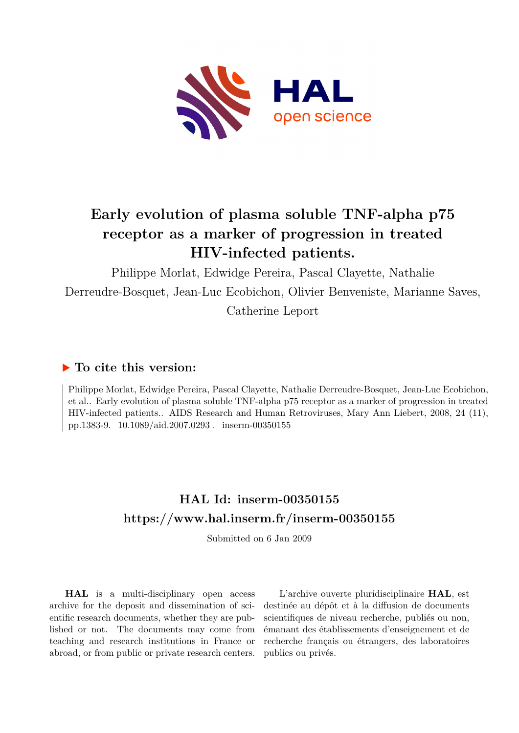

# **Early evolution of plasma soluble TNF-alpha p75 receptor as a marker of progression in treated HIV-infected patients.**

Philippe Morlat, Edwidge Pereira, Pascal Clayette, Nathalie Derreudre-Bosquet, Jean-Luc Ecobichon, Olivier Benveniste, Marianne Saves, Catherine Leport

# **To cite this version:**

Philippe Morlat, Edwidge Pereira, Pascal Clayette, Nathalie Derreudre-Bosquet, Jean-Luc Ecobichon, et al.. Early evolution of plasma soluble TNF-alpha p75 receptor as a marker of progression in treated HIV-infected patients.. AIDS Research and Human Retroviruses, Mary Ann Liebert, 2008, 24 (11), pp.1383-9.  $10.1089/aid.2007.0293$ . inserm-00350155

# **HAL Id: inserm-00350155 <https://www.hal.inserm.fr/inserm-00350155>**

Submitted on 6 Jan 2009

**HAL** is a multi-disciplinary open access archive for the deposit and dissemination of scientific research documents, whether they are published or not. The documents may come from teaching and research institutions in France or abroad, or from public or private research centers.

L'archive ouverte pluridisciplinaire **HAL**, est destinée au dépôt et à la diffusion de documents scientifiques de niveau recherche, publiés ou non, émanant des établissements d'enseignement et de recherche français ou étrangers, des laboratoires publics ou privés.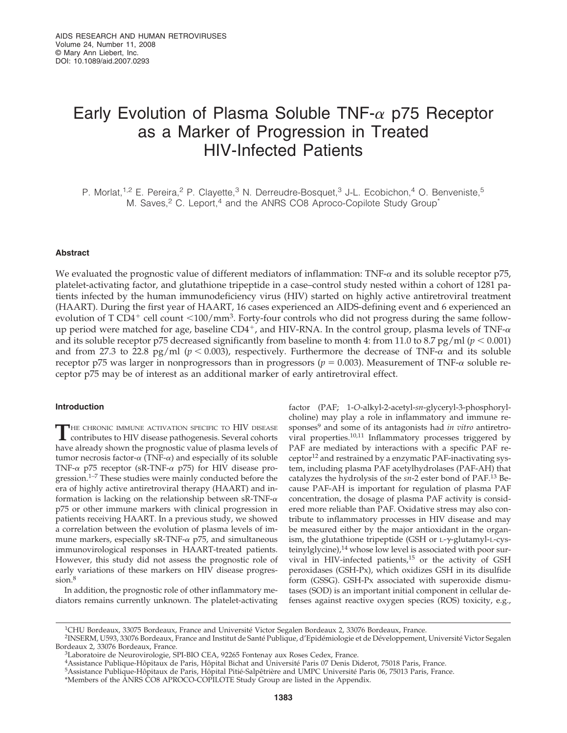# Early Evolution of Plasma Soluble  $TNF$ - $\alpha$  p75 Receptor as a Marker of Progression in Treated HIV-Infected Patients

P. Morlat,<sup>1,2</sup> E. Pereira,<sup>2</sup> P. Clayette,<sup>3</sup> N. Derreudre-Bosquet,<sup>3</sup> J-L. Ecobichon,<sup>4</sup> O. Benveniste,<sup>5</sup> M. Saves,<sup>2</sup> C. Leport,<sup>4</sup> and the ANRS CO8 Aproco-Copilote Study Group<sup>\*</sup>

# **Abstract**

We evaluated the prognostic value of different mediators of inflammation: TNF-*-* and its soluble receptor p75, platelet-activating factor, and glutathione tripeptide in a case–control study nested within a cohort of 1281 patients infected by the human immunodeficiency virus (HIV) started on highly active antiretroviral treatment (HAART). During the first year of HAART, 16 cases experienced an AIDS-defining event and 6 experienced an evolution of T CD4<sup>+</sup> cell count <100/mm<sup>3</sup>. Forty-four controls who did not progress during the same followup period were matched for age, baseline CD4<sup>+</sup>, and HIV-RNA. In the control group, plasma levels of TNF- $\alpha$ and its soluble receptor p75 decreased significantly from baseline to month 4: from 11.0 to 8.7 pg/ml ( $p < 0.001$ ) and from 27.3 to 22.8 pg/ml ( $p < 0.003$ ), respectively. Furthermore the decrease of TNF- $\alpha$  and its soluble receptor p75 was larger in nonprogressors than in progressors ( $p = 0.003$ ). Measurement of TNF- $\alpha$  soluble receptor p75 may be of interest as an additional marker of early antiretroviral effect.

# **Introduction**

THE CHRONIC IMMUNE ACTIVATION SPECIFIC TO HIV DISEASE<br>contributes to HIV disease pathogenesis. Several cohorts have already shown the prognostic value of plasma levels of tumor necrosis factor-*α* (TNF-*α*) and especially of its soluble TNF-*α* p75 receptor (sR-TNF-*α* p75) for HIV disease progression.1–7 These studies were mainly conducted before the era of highly active antiretroviral therapy (HAART) and information is lacking on the relationship between  $sR$ -TNF- $\alpha$ p75 or other immune markers with clinical progression in patients receiving HAART. In a previous study, we showed a correlation between the evolution of plasma levels of immune markers, especially sR-TNF-α p75, and simultaneous immunovirological responses in HAART-treated patients. However, this study did not assess the prognostic role of early variations of these markers on HIV disease progression.<sup>8</sup>

In addition, the prognostic role of other inflammatory mediators remains currently unknown. The platelet-activating

factor (PAF; 1-*O*-alkyl-2-acetyl-*sn*-glyceryl-3-phosphorylcholine) may play a role in inflammatory and immune responses<sup>9</sup> and some of its antagonists had *in vitro* antiretroviral properties.<sup>10,11</sup> Inflammatory processes triggered by PAF are mediated by interactions with a specific PAF receptor<sup>12</sup> and restrained by a enzymatic PAF-inactivating system, including plasma PAF acetylhydrolases (PAF-AH) that catalyzes the hydrolysis of the *sn*-2 ester bond of PAF.13 Because PAF-AH is important for regulation of plasma PAF concentration, the dosage of plasma PAF activity is considered more reliable than PAF. Oxidative stress may also contribute to inflammatory processes in HIV disease and may be measured either by the major antioxidant in the organism, the glutathione tripeptide (GSH or  $L$ - $\gamma$ -glutamyl- $L$ -cysteinylglycine),<sup>14</sup> whose low level is associated with poor survival in HIV-infected patients, $15$  or the activity of GSH peroxidases (GSH-Px), which oxidizes GSH in its disulfide form (GSSG). GSH-Px associated with superoxide dismutases (SOD) is an important initial component in cellular defenses against reactive oxygen species (ROS) toxicity, e.g.,

<sup>1</sup>CHU Bordeaux, 33075 Bordeaux, France and Université Victor Segalen Bordeaux 2, 33076 Bordeaux, France.

<sup>&</sup>lt;sup>2</sup>INSERM, U593, 33076 Bordeaux, France and Institut de Santé Publique, d'Epidémiologie et de Développement, Université Victor Segalen<br>Bordeaux 2, 33076 Bordeaux, France.

<sup>&</sup>lt;sup>3</sup>Laboratoire de Neurovirologie, SPI-BIO CEA, 92265 Fontenay aux Roses Cedex, France.

<sup>4</sup>Assistance Publique-Hôpitaux de Paris, Hôpital Bichat and Université Paris 07 Denis Diderot, 75018 Paris, France.

<sup>5</sup>Assistance Publique-Hôpitaux de Paris, Hôpital Pitié-Salpêtrière and UMPC Université Paris 06, 75013 Paris, France.

<sup>\*</sup>Members of the ANRS CO8 APROCO-COPILOTE Study Group are listed in the Appendix.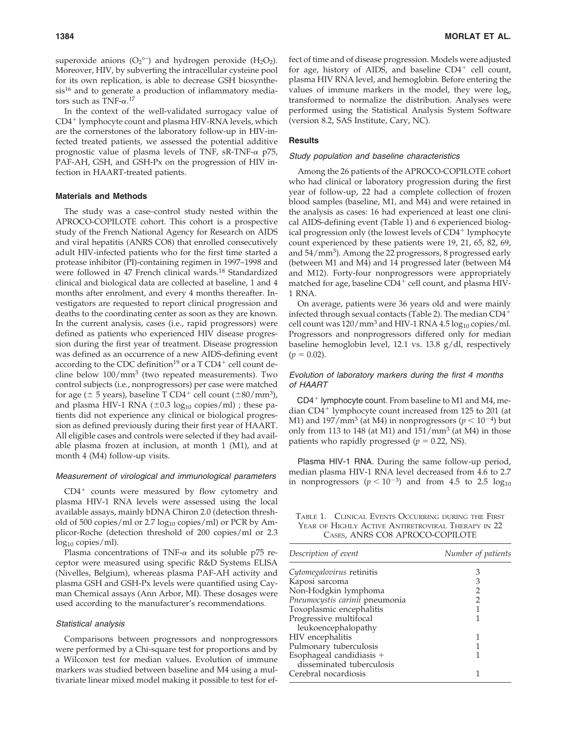superoxide anions  $(O_2^{\circ -})$  and hydrogen peroxide  $(H_2O_2)$ . Moreover, HIV, by subverting the intracellular cysteine pool for its own replication, is able to decrease GSH biosynthesis<sup>16</sup> and to generate a production of inflammatory mediators such as  $\text{TNF-}\alpha$ .<sup>17</sup>

In the context of the well-validated surrogacy value of CD4- lymphocyte count and plasma HIV-RNA levels, which are the cornerstones of the laboratory follow-up in HIV-infected treated patients, we assessed the potential additive prognostic value of plasma levels of TNF, sR-TNF-*-* p75, PAF-AH, GSH, and GSH-Px on the progression of HIV infection in HAART-treated patients.

# **Materials and Methods**

The study was a case–control study nested within the APROCO-COPILOTE cohort. This cohort is a prospective study of the French National Agency for Research on AIDS and viral hepatitis (ANRS CO8) that enrolled consecutively adult HIV-infected patients who for the first time started a protease inhibitor (PI)-containing regimen in 1997–1998 and were followed in 47 French clinical wards.<sup>18</sup> Standardized clinical and biological data are collected at baseline, 1 and 4 months after enrolment, and every 4 months thereafter. Investigators are requested to report clinical progression and deaths to the coordinating center as soon as they are known. In the current analysis, cases (i.e., rapid progressors) were defined as patients who experienced HIV disease progression during the first year of treatment. Disease progression was defined as an occurrence of a new AIDS-defining event according to the CDC definition $^{19}$  or a T CD4<sup>+</sup> cell count decline below  $100/mm^3$  (two repeated measurements). Two control subjects (i.e., nonprogressors) per case were matched for age ( $\pm$  5 years), baseline T CD4<sup>+</sup> cell count ( $\pm$ 80/mm<sup>3</sup>), and plasma HIV-1 RNA ( $\pm$ 0.3 log<sub>10</sub> copies/ml) ; these patients did not experience any clinical or biological progression as defined previously during their first year of HAART. All eligible cases and controls were selected if they had available plasma frozen at inclusion, at month 1 (M1), and at month 4 (M4) follow-up visits.

# *Measurement of virological and immunological parameters*

CD4- counts were measured by flow cytometry and plasma HIV-1 RNA levels were assessed using the local available assays, mainly bDNA Chiron 2.0 (detection threshold of 500 copies/ml or 2.7  $log_{10}$  copies/ml) or PCR by Amplicor-Roche (detection threshold of 200 copies/ml or 2.3  $log_{10}$  copies/ml).

Plasma concentrations of TNF- $\alpha$  and its soluble p75 receptor were measured using specific R&D Systems ELISA (Nivelles, Belgium), whereas plasma PAF-AH activity and plasma GSH and GSH-Px levels were quantified using Cayman Chemical assays (Ann Arbor, MI). These dosages were used according to the manufacturer's recommendations.

### *Statistical analysis*

Comparisons between progressors and nonprogressors were performed by a Chi-square test for proportions and by a Wilcoxon test for median values. Evolution of immune markers was studied between baseline and M4 using a multivariate linear mixed model making it possible to test for effect of time and of disease progression. Models were adjusted for age, history of AIDS, and baseline CD4<sup>+</sup> cell count, plasma HIV RNA level, and hemoglobin. Before entering the values of immune markers in the model, they were  $log_e$ transformed to normalize the distribution. Analyses were performed using the Statistical Analysis System Software (version 8.2, SAS Institute, Cary, NC).

# **Results**

# *Study population and baseline characteristics*

Among the 26 patients of the APROCO-COPILOTE cohort who had clinical or laboratory progression during the first year of follow-up, 22 had a complete collection of frozen blood samples (baseline, M1, and M4) and were retained in the analysis as cases: 16 had experienced at least one clinical AIDS-defining event (Table 1) and 6 experienced biological progression only (the lowest levels of CD4<sup>+</sup> lymphocyte count experienced by these patients were 19, 21, 65, 82, 69, and 54/mm<sup>3</sup>). Among the 22 progressors, 8 progressed early (between M1 and M4) and 14 progressed later (between M4 and M12). Forty-four nonprogressors were appropriately matched for age, baseline CD4<sup>+</sup> cell count, and plasma HIV-1 RNA.

On average, patients were 36 years old and were mainly infected through sexual contacts (Table 2). The median  $CD4^+$ cell count was  $120/\text{mm}^3$  and HIV-1 RNA 4.5 log<sub>10</sub> copies/ml. Progressors and nonprogressors differed only for median baseline hemoglobin level, 12.1 vs. 13.8 g/dl, respectively  $(p = 0.02)$ .

# *Evolution of laboratory markers during the first 4 months of HAART*

CD4<sup>+</sup> lymphocyte count. From baseline to M1 and M4, median CD4<sup>+</sup> lymphocyte count increased from 125 to 201 (at M1) and  $197/\text{mm}^3$  (at M4) in nonprogressors ( $p < 10^{-4}$ ) but only from 113 to 148 (at M1) and  $151/mm^3$  (at M4) in those patients who rapidly progressed ( $p = 0.22$ , NS).

Plasma HIV-1 RNA. During the same follow-up period, median plasma HIV-1 RNA level decreased from 4.6 to 2.7 in nonprogressors  $(p < 10^{-3})$  and from 4.5 to 2.5 log<sub>10</sub>

TABLE 1. CLINICAL EVENTS OCCURRING DURING THE FIRST YEAR OF HIGHLY ACTIVE ANTIRETROVIRAL THERAPY IN 22 CASES, ANRS CO8 APROCO-COPILOTE

| Description of event           | Number of patients |  |
|--------------------------------|--------------------|--|
| Cytomegalovirus retinitis      |                    |  |
| Kaposi sarcoma                 | З                  |  |
| Non-Hodgkin lymphoma           |                    |  |
| Pneumocystis carinii pneumonia |                    |  |
| Toxoplasmic encephalitis       |                    |  |
| Progressive multifocal         |                    |  |
| leukoencephalopathy            |                    |  |
| HIV encephalitis               |                    |  |
| Pulmonary tuberculosis         |                    |  |
| Esophageal candidiasis +       |                    |  |
| disseminated tuberculosis      |                    |  |
| Cerebral nocardiosis           |                    |  |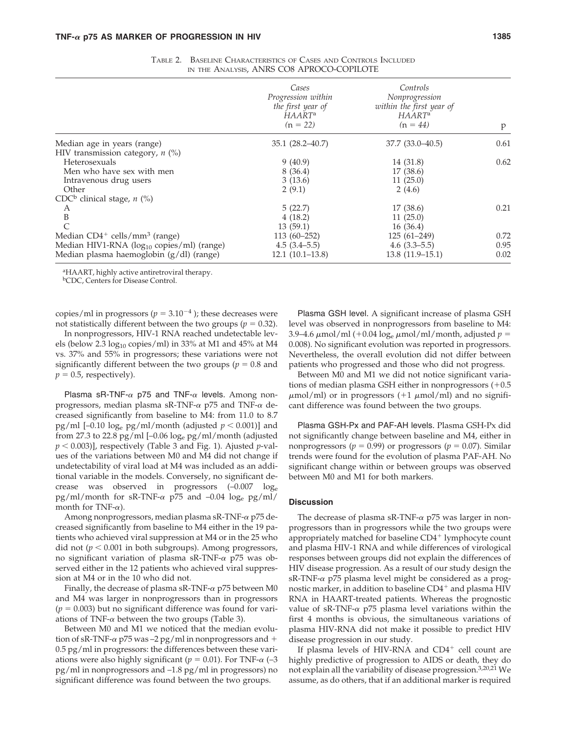|                                                       | Cases<br>Progression within<br>the first year of<br><b>HAART</b> <sup>a</sup><br>$(n = 22)$ | Controls<br>Nonprogression<br>within the first year of<br><b>HAART</b> <sup>a</sup><br>$(n = 44)$ | p    |
|-------------------------------------------------------|---------------------------------------------------------------------------------------------|---------------------------------------------------------------------------------------------------|------|
| Median age in years (range)                           | $35.1(28.2 - 40.7)$                                                                         | $37.7(33.0-40.5)$                                                                                 | 0.61 |
| HIV transmission category, $n$ (%)                    |                                                                                             |                                                                                                   |      |
| Heterosexuals                                         | 9(40.9)                                                                                     | 14 (31.8)                                                                                         | 0.62 |
| Men who have sex with men                             | 8(36.4)                                                                                     | 17 (38.6)                                                                                         |      |
| Intravenous drug users                                | 3(13.6)                                                                                     | 11(25.0)                                                                                          |      |
| Other                                                 | 2(9.1)                                                                                      | 2(4.6)                                                                                            |      |
| CDC <sup>b</sup> clinical stage, $n$ (%)              |                                                                                             |                                                                                                   |      |
| А                                                     | 5(22.7)                                                                                     | 17 (38.6)                                                                                         | 0.21 |
| B                                                     | 4(18.2)                                                                                     | 11(25.0)                                                                                          |      |
|                                                       | 13(59.1)                                                                                    | 16(36.4)                                                                                          |      |
| Median $CD4^+$ cells/mm <sup>3</sup> (range)          | $113(60 - 252)$                                                                             | $125(61-249)$                                                                                     | 0.72 |
| Median HIV1-RNA (log <sub>10</sub> copies/ml) (range) | $4.5(3.4-5.5)$                                                                              | $4.6(3.3-5.5)$                                                                                    | 0.95 |
| Median plasma haemoglobin (g/dl) (range)              | $12.1(10.1-13.8)$                                                                           | $13.8(11.9-15.1)$                                                                                 | 0.02 |
|                                                       |                                                                                             |                                                                                                   |      |

| TABLE 2. BASELINE CHARACTERISTICS OF CASES AND CONTROLS INCLUDED |  |
|------------------------------------------------------------------|--|
| IN THE ANALYSIS, ANRS CO8 APROCO-COPILOTE                        |  |

aHAART, highly active antiretroviral therapy.

bCDC, Centers for Disease Control.

copies/ml in progressors ( $p = 3.10^{-4}$ ); these decreases were not statistically different between the two groups ( $p = 0.32$ ).

In nonprogressors, HIV-1 RNA reached undetectable levels (below 2.3  $log_{10}$  copies/ml) in 33% at M1 and 45% at M4 vs. 37% and 55% in progressors; these variations were not significantly different between the two groups ( $p = 0.8$  and  $p = 0.5$ , respectively).

Plasma sR-TNF- $\alpha$  p75 and TNF- $\alpha$  levels. Among nonprogressors, median plasma sR-TNF-α p75 and TNF-α decreased significantly from baseline to M4: from 11.0 to 8.7 pg/ml  $[-0.10 \text{ log}_e \text{ pg/ml/month}$  (adjusted  $p < 0.001$ )] and from 27.3 to 22.8 pg/ml [–0.06 loge pg/ml/month (adjusted  $p < 0.003$ ], respectively (Table 3 and Fig. 1). Ajusted *p*-values of the variations between M0 and M4 did not change if undetectability of viral load at M4 was included as an additional variable in the models. Conversely, no significant decrease was observed in progressors (–0.007 loge pg/ml/month for sR-TNF-*-* p75 and –0.04 loge pg/ml/ month for TNF-α).

Among nonprogressors, median plasma sR-TNF-α p75 decreased significantly from baseline to M4 either in the 19 patients who achieved viral suppression at M4 or in the 25 who did not  $(p < 0.001$  in both subgroups). Among progressors, no significant variation of plasma sR-TNF-α p75 was observed either in the 12 patients who achieved viral suppression at M4 or in the 10 who did not.

Finally, the decrease of plasma sR-TNF-α p75 between M0 and M4 was larger in nonprogressors than in progressors  $(p = 0.003)$  but no significant difference was found for variations of TNF- $\alpha$  between the two groups (Table 3).

Between M0 and M1 we noticed that the median evolution of sR-TNF- $\alpha$  p75 was -2 pg/ml in nonprogressors and + 0.5 pg/ml in progressors: the differences between these variations were also highly significant ( $p = 0.01$ ). For TNF- $\alpha$  (-3) pg/ml in nonprogressors and –1.8 pg/ml in progressors) no significant difference was found between the two groups.

Plasma GSH level. A significant increase of plasma GSH level was observed in nonprogressors from baseline to M4:  $3.9$ – $4.6 \mu$ mol/ml (+ $0.04 \log_e \mu$ mol/ml/month, adjusted  $p=$ 0.008). No significant evolution was reported in progressors. Nevertheless, the overall evolution did not differ between patients who progressed and those who did not progress.

Between M0 and M1 we did not notice significant variations of median plasma GSH either in nonprogressors (+0.5  $\mu$ mol/ml) or in progressors (+1  $\mu$ mol/ml) and no significant difference was found between the two groups.

Plasma GSH-Px and PAF-AH levels. Plasma GSH-Px did not significantly change between baseline and M4, either in nonprogressors ( $p = 0.99$ ) or progressors ( $p = 0.07$ ). Similar trends were found for the evolution of plasma PAF-AH. No significant change within or between groups was observed between M0 and M1 for both markers.

# **Discussion**

The decrease of plasma sR-TNF-α p75 was larger in nonprogressors than in progressors while the two groups were appropriately matched for baseline CD4<sup>+</sup> lymphocyte count and plasma HIV-1 RNA and while differences of virological responses between groups did not explain the differences of HIV disease progression. As a result of our study design the sR-TNF-α p75 plasma level might be considered as a prognostic marker, in addition to baseline CD4<sup>+</sup> and plasma HIV RNA in HAART-treated patients. Whereas the prognostic value of sR-TNF- $\alpha$  p75 plasma level variations within the first 4 months is obvious, the simultaneous variations of plasma HIV-RNA did not make it possible to predict HIV disease progression in our study.

If plasma levels of HIV-RNA and CD4<sup>+</sup> cell count are highly predictive of progression to AIDS or death, they do not explain all the variability of disease progression.<sup>3,20,21</sup> We assume, as do others, that if an additional marker is required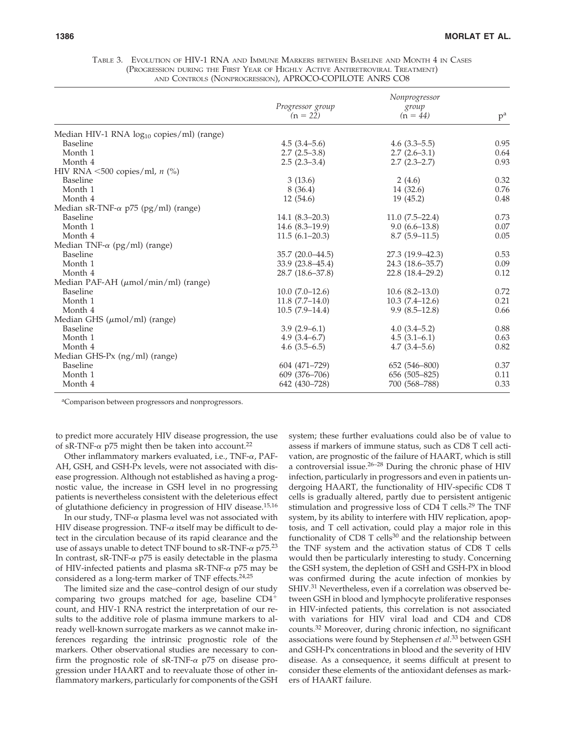|                                                       | Nonprogressor       |                  |       |
|-------------------------------------------------------|---------------------|------------------|-------|
|                                                       | Progressor group    | group            |       |
|                                                       | $(n = 22)$          | $(n = 44)$       | $p^a$ |
| Median HIV-1 RNA log <sub>10</sub> copies/ml) (range) |                     |                  |       |
| <b>Baseline</b>                                       | $4.5(3.4-5.6)$      | $4.6(3.3-5.5)$   | 0.95  |
| Month 1                                               | $2.7(2.5-3.8)$      | $2.7(2.6-3.1)$   | 0.64  |
| Month 4                                               | $2.5(2.3-3.4)$      | $2.7(2.3 - 2.7)$ | 0.93  |
| HIV RNA $\leq 500$ copies/ml, n (%)                   |                     |                  |       |
| <b>Baseline</b>                                       | 3(13.6)             | 2(4.6)           | 0.32  |
| Month 1                                               | 8(36.4)             | 14 (32.6)        | 0.76  |
| Month 4                                               | 12 (54.6)           | 19 (45.2)        | 0.48  |
| Median sR-TNF- $\alpha$ p75 (pg/ml) (range)           |                     |                  |       |
| <b>Baseline</b>                                       | $14.1 (8.3 - 20.3)$ | $11.0(7.5-22.4)$ | 0.73  |
| Month 1                                               | $14.6(8.3-19.9)$    | $9.0(6.6-13.8)$  | 0.07  |
| Month 4                                               | $11.5(6.1-20.3)$    | $8.7(5.9-11.5)$  | 0.05  |
| Median TNF- $\alpha$ (pg/ml) (range)                  |                     |                  |       |
| <b>Baseline</b>                                       | 35.7 (20.0-44.5)    | 27.3 (19.9-42.3) | 0.53  |
| Month 1                                               | $33.9(23.8 - 45.4)$ | 24.3 (18.6–35.7) | 0.09  |
| Month 4                                               | 28.7 (18.6–37.8)    | 22.8 (18.4–29.2) | 0.12  |
| Median PAF-AH $(\mu$ mol/min/ml) (range)              |                     |                  |       |
| Baseline                                              | $10.0 (7.0 - 12.6)$ | $10.6(8.2-13.0)$ | 0.72  |
| Month 1                                               | $11.8(7.7-14.0)$    | $10.3(7.4-12.6)$ | 0.21  |
| Month 4                                               | $10.5(7.9-14.4)$    | $9.9(8.5-12.8)$  | 0.66  |
| Median GHS $(\mu \text{mol}/\text{ml})$ (range)       |                     |                  |       |
| Baseline                                              | $3.9(2.9-6.1)$      | $4.0(3.4-5.2)$   | 0.88  |
| Month 1                                               | $4.9(3.4-6.7)$      | $4.5(3.1-6.1)$   | 0.63  |
| Month 4                                               | $4.6(3.5-6.5)$      | $4.7(3.4-5.6)$   | 0.82  |
| Median GHS-Px (ng/ml) (range)                         |                     |                  |       |
| <b>Baseline</b>                                       | 604 (471-729)       | 652 (546-800)    | 0.37  |
| Month 1                                               | 609 (376-706)       | 656 (505-825)    | 0.11  |
| Month 4                                               | 642 (430-728)       | 700 (568-788)    | 0.33  |

TABLE 3. EVOLUTION OF HIV-1 RNA AND IMMUNE MARKERS BETWEEN BASELINE AND MONTH 4 IN CASES (PROGRESSION DURING THE FIRST YEAR OF HIGHLY ACTIVE ANTIRETROVIRAL TREATMENT) AND CONTROLS (NONPROGRESSION), APROCO-COPILOTE ANRS CO8

aComparison between progressors and nonprogressors.

to predict more accurately HIV disease progression, the use of sR-TNF- $\alpha$  p75 might then be taken into account.<sup>22</sup>

Other inflammatory markers evaluated, i.e., TNF- $\alpha$ , PAF-AH, GSH, and GSH-Px levels, were not associated with disease progression. Although not established as having a prognostic value, the increase in GSH level in no progressing patients is nevertheless consistent with the deleterious effect of glutathione deficiency in progression of HIV disease.<sup>15,16</sup>

In our study, TNF-α plasma level was not associated with HIV disease progression. TNF-α itself may be difficult to detect in the circulation because of its rapid clearance and the use of assays unable to detect TNF bound to sR-TNF-*-* p75.<sup>23</sup> In contrast, sR-TNF-α p75 is easily detectable in the plasma of HIV-infected patients and plasma sR-TNF-*-* p75 may be considered as a long-term marker of TNF effects.<sup>24,25</sup>

The limited size and the case–control design of our study comparing two groups matched for age, baseline CD4 count, and HIV-1 RNA restrict the interpretation of our results to the additive role of plasma immune markers to already well-known surrogate markers as we cannot make inferences regarding the intrinsic prognostic role of the markers. Other observational studies are necessary to confirm the prognostic role of sR-TNF- $\alpha$  p75 on disease progression under HAART and to reevaluate those of other inflammatory markers, particularly for components of the GSH system; these further evaluations could also be of value to assess if markers of immune status, such as CD8 T cell activation, are prognostic of the failure of HAART, which is still a controversial issue.<sup>26-28</sup> During the chronic phase of HIV infection, particularly in progressors and even in patients undergoing HAART, the functionality of HIV-specific CD8 T cells is gradually altered, partly due to persistent antigenic stimulation and progressive loss of CD4 T cells.29 The TNF system, by its ability to interfere with HIV replication, apoptosis, and T cell activation, could play a major role in this functionality of CD8 T cells $30$  and the relationship between the TNF system and the activation status of CD8 T cells would then be particularly interesting to study. Concerning the GSH system, the depletion of GSH and GSH-PX in blood was confirmed during the acute infection of monkies by SHIV.31 Nevertheless, even if a correlation was observed between GSH in blood and lymphocyte proliferative responses in HIV-infected patients, this correlation is not associated with variations for HIV viral load and CD4 and CD8 counts.<sup>32</sup> Moreover, during chronic infection, no significant associations were found by Stephensen *et al*. <sup>33</sup> between GSH and GSH-Px concentrations in blood and the severity of HIV disease. As a consequence, it seems difficult at present to consider these elements of the antioxidant defenses as markers of HAART failure.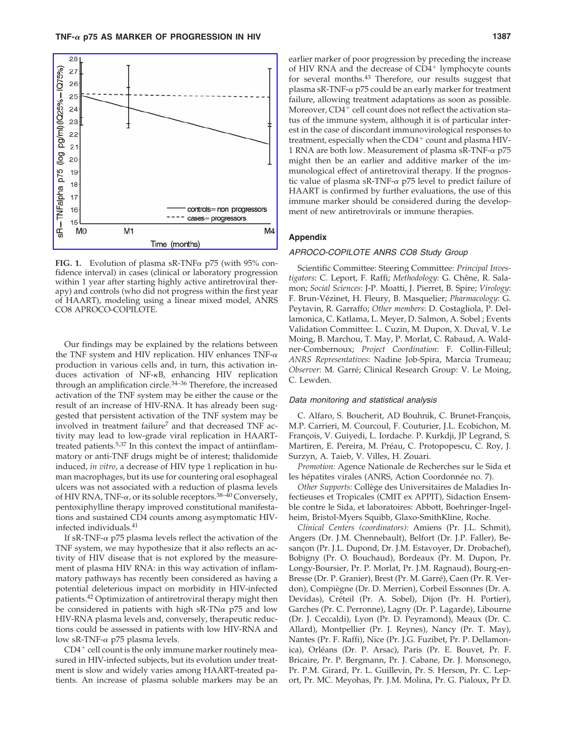

**FIG. 1.** Evolution of plasma sR-TNF $\alpha$  p75 (with 95% confidence interval) in cases (clinical or laboratory progression within 1 year after starting highly active antiretroviral therapy) and controls (who did not progress within the first year of HAART), modeling using a linear mixed model, ANRS CO8 APROCO-COPILOTE.

Our findings may be explained by the relations between the TNF system and HIV replication. HIV enhances  $TNF-\alpha$ production in various cells and, in turn, this activation induces activation of  $NF- $\kappa$ B$ , enhancing HIV replication through an amplification circle.<sup>34-36</sup> Therefore, the increased activation of the TNF system may be either the cause or the result of an increase of HIV-RNA. It has already been suggested that persistent activation of the TNF system may be involved in treatment failure<sup>7</sup> and that decreased TNF activity may lead to low-grade viral replication in HAARTtreated patients.5,37 In this context the impact of antiinflammatory or anti-TNF drugs might be of interest; thalidomide induced, *in vitro*, a decrease of HIV type 1 replication in human macrophages, but its use for countering oral esophageal ulcers was not associated with a reduction of plasma levels of HIV RNA, TNF-*α*, or its soluble receptors.<sup>38–40</sup> Conversely, pentoxiphylline therapy improved constitutional manifestations and sustained CD4 counts among asymptomatic HIVinfected individuals.<sup>41</sup>

If sR-TNF-α p75 plasma levels reflect the activation of the TNF system, we may hypothesize that it also reflects an activity of HIV disease that is not explored by the measurement of plasma HIV RNA: in this way activation of inflammatory pathways has recently been considered as having a potential deleterious impact on morbidity in HIV-infected patients.42 Optimization of antiretroviral therapy might then be considered in patients with high sR-TNα p75 and low HIV-RNA plasma levels and, conversely, therapeutic reductions could be assessed in patients with low HIV-RNA and low sR-TNF-α p75 plasma levels.

CD4<sup>+</sup> cell count is the only immune marker routinely measured in HIV-infected subjects, but its evolution under treatment is slow and widely varies among HAART-treated patients. An increase of plasma soluble markers may be an earlier marker of poor progression by preceding the increase of HIV RNA and the decrease of CD4<sup>+</sup> lymphocyte counts for several months.<sup>43</sup> Therefore, our results suggest that plasma sR-TNF- $\alpha$  p75 could be an early marker for treatment failure, allowing treatment adaptations as soon as possible. Moreover,  $CD4^+$  cell count does not reflect the activation status of the immune system, although it is of particular interest in the case of discordant immunovirological responses to treatment, especially when the  $CD4^+$  count and plasma HIV-1 RNA are both low. Measurement of plasma sR-TNF-α p75 might then be an earlier and additive marker of the immunological effect of antiretroviral therapy. If the prognostic value of plasma sR-TNF-α p75 level to predict failure of HAART is confirmed by further evaluations, the use of this immune marker should be considered during the development of new antiretrovirals or immune therapies.

# **Appendix**

### *APROCO-COPILOTE ANRS CO8 Study Group*

Scientific Committee: Steering Committee: *Principal Investigators*: C. Leport, F. Raffi; *Methodology*: G. Chêne, R. Salamon; *Social Sciences*: J-P. Moatti, J. Pierret, B. Spire; *Virology*: F. Brun-Vézinet, H. Fleury, B. Masquelier; *Pharmacology*: G. Peytavin, R. Garraffo; *Other members*: D. Costagliola, P. Dellamonica, C. Katlama, L. Meyer, D. Salmon, A. Sobel ; Events Validation Committee: L. Cuzin, M. Dupon, X. Duval, V. Le Moing, B. Marchou, T. May, P. Morlat, C. Rabaud, A. Waldner-Combernoux; *Project Coordination*: F. Collin-Filleul; *ANRS Representatives*: Nadine Job-Spira, Marcia Trumeau; *Observer*: M. Garré; Clinical Research Group: V. Le Moing, C. Lewden.

### *Data monitoring and statistical analysis*

C. Alfaro, S. Boucherit, AD Bouhnik, C. Brunet-François, M.P. Carrieri, M. Courcoul, F. Couturier, J.L. Ecobichon, M. François, V. Guiyedi, L. Iordache. P. Kurkdji, JP Legrand, S. Martiren, E. Pereira, M. Préau, C. Protopopescu, C. Roy, J. Surzyn, A. Taieb, V. Villes, H. Zouari.

*Promotion:* Agence Nationale de Recherches sur le Sida et les hépatites virales (ANRS, Action Coordonnée no. 7).

*Other Supports:* Collège des Universitaires de Maladies Infectieuses et Tropicales (CMIT ex APPIT), Sidaction Ensemble contre le Sida, et laboratoires: Abbott, Boehringer-Ingelheim, Bristol-Myers Squibb, Glaxo-SmithKline, Roche.

*Clinical Centers (coordinators):* Amiens (Pr. J.L. Schmit), Angers (Dr. J.M. Chennebault), Belfort (Dr. J.P. Faller), Besançon (Pr. J.L. Dupond, Dr. J.M. Estavoyer, Dr. Drobachef), Bobigny (Pr. O. Bouchaud), Bordeaux (Pr. M. Dupon, Pr. Longy-Boursier, Pr. P. Morlat, Pr. J.M. Ragnaud), Bourg-en-Bresse (Dr. P. Granier), Brest (Pr. M. Garré), Caen (Pr. R. Verdon), Compiègne (Dr. D. Merrien), Corbeil Essonnes (Dr. A. Devidas), Créteil (Pr. A. Sobel), Dijon (Pr. H. Portier), Garches (Pr. C. Perronne), Lagny (Dr. P. Lagarde), Libourne (Dr. J. Ceccaldi), Lyon (Pr. D. Peyramond), Meaux (Dr. C. Allard), Montpellier (Pr. J. Reynes), Nancy (Pr. T. May), Nantes (Pr. F. Raffi), Nice (Pr. J.G. Fuzibet, Pr. P. Dellamonica), Orléans (Dr. P. Arsac), Paris (Pr. E. Bouvet, Pr. F. Bricaire, Pr. P. Bergmann, Pr. J. Cabane, Dr. J. Monsonego, Pr. P.M. Girard, Pr. L. Guillevin, Pr. S. Herson, Pr. C. Leport, Pr. MC. Meyohas, Pr. J.M. Molina, Pr. G. Pialoux, Pr D.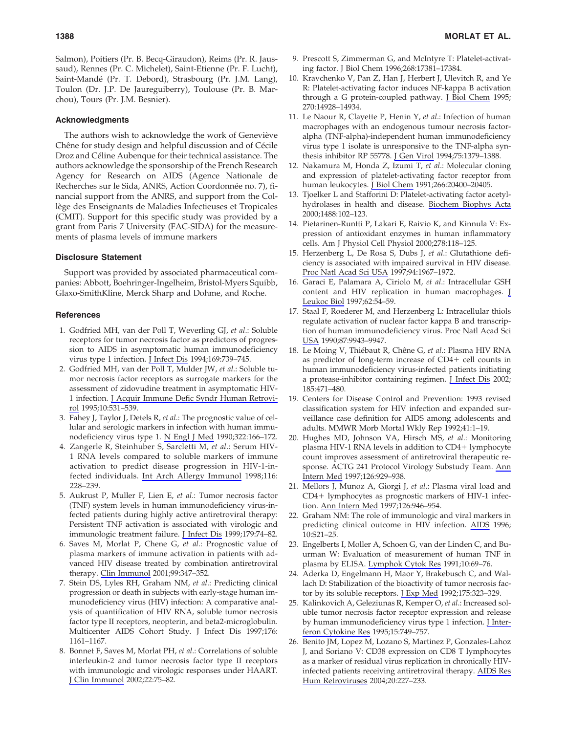Salmon), Poitiers (Pr. B. Becq-Giraudon), Reims (Pr. R. Jaussaud), Rennes (Pr. C. Michelet), Saint-Etienne (Pr. F. Lucht), Saint-Mandé (Pr. T. Debord), Strasbourg (Pr. J.M. Lang), Toulon (Dr. J.P. De Jaureguiberry), Toulouse (Pr. B. Marchou), Tours (Pr. J.M. Besnier).

# **Acknowledgments**

The authors wish to acknowledge the work of Geneviève Chêne for study design and helpful discussion and of Cécile Droz and Céline Aubenque for their technical assistance. The authors acknowledge the sponsorship of the French Research Agency for Research on AIDS (Agence Nationale de Recherches sur le Sida, ANRS, Action Coordonnée no. 7), financial support from the ANRS, and support from the Collège des Enseignants de Maladies Infectieuses et Tropicales (CMIT). Support for this specific study was provided by a grant from Paris 7 University (FAC-SIDA) for the measurements of plasma levels of immune markers

# **Disclosure Statement**

Support was provided by associated pharmaceutical companies: Abbott, Boehringer-Ingelheim, Bristol-Myers Squibb, Glaxo-SmithKline, Merck Sharp and Dohme, and Roche.

#### **References**

- 1. Godfried MH, van der Poll T, Weverling GJ, *et al*.: Soluble receptors for tumor necrosis factor as predictors of progression to AIDS in asymptomatic human immunodeficiency virus type 1 infection. J Infect Dis 1994;169:739–745.
- 2. Godfried MH, van der Poll T, Mulder JW, *et al*.: Soluble tumor necrosis factor receptors as surrogate markers for the assessment of zidovudine treatment in asymptomatic HIV-1 infection. J Acquir Immune Defic Syndr Human Retrovirol 1995;10:531–539.
- 3. Fahey J, Taylor J, Detels R, *et al*.: The prognostic value of cellular and serologic markers in infection with human immunodeficiency virus type 1. N Engl J Med 1990;322:166–172.
- 4. Zangerle R, Steinhuber S, Sarcletti M, *et al*.: Serum HIV-1 RNA levels compared to soluble markers of immune activation to predict disease progression in HIV-1-infected individuals. Int Arch Allergy Immunol 1998;116: 228–239.
- 5. Aukrust P, Muller F, Lien E, *et al*.: Tumor necrosis factor (TNF) system levels in human immunodeficiency virus-infected patients during highly active antiretroviral therapy: Persistent TNF activation is associated with virologic and immunologic treatment failure. J Infect Dis 1999;179:74–82.
- 6. Saves M, Morlat P, Chene G, *et al*.: Prognostic value of plasma markers of immune activation in patients with advanced HIV disease treated by combination antiretroviral therapy. Clin Immunol 2001;99:347–352.
- 7. Stein DS, Lyles RH, Graham NM, *et al*.: Predicting clinical progression or death in subjects with early-stage human immunodeficiency virus (HIV) infection: A comparative analysis of quantification of HIV RNA, soluble tumor necrosis factor type II receptors, neopterin, and beta2-microglobulin. Multicenter AIDS Cohort Study. J Infect Dis 1997;176: 1161–1167.
- 8. Bonnet F, Saves M, Morlat PH, *et al*.: Correlations of soluble interleukin-2 and tumor necrosis factor type II receptors with immunologic and virologic responses under HAART. J Clin Immunol 2002;22:75–82.
- 9. Prescott S, Zimmerman G, and McIntyre T: Platelet-activating factor. J Biol Chem 1996;268:17381–17384.
- 10. Kravchenko V, Pan Z, Han J, Herbert J, Ulevitch R, and Ye R: Platelet-activating factor induces NF-kappa B activation through a G protein-coupled pathway. J Biol Chem 1995; 270:14928–14934.
- 11. Le Naour R, Clayette P, Henin Y, *et al*.: Infection of human macrophages with an endogenous tumour necrosis factoralpha (TNF-alpha)-independent human immunodeficiency virus type 1 isolate is unresponsive to the TNF-alpha synthesis inhibitor RP 55778. J Gen Virol 1994;75:1379–1388.
- 12. Nakamura M, Honda Z, Izumi T, *et al*.: Molecular cloning and expression of platelet-activating factor receptor from human leukocytes. J Biol Chem 1991;266:20400–20405.
- 13. Tjoelker L and Stafforini D: Platelet-activating factor acetylhydrolases in health and disease. Biochem Biophys Acta 2000;1488:102–123.
- 14. Pietarinen-Runtti P, Lakari E, Raivio K, and Kinnula V: Expression of antioxidant enzymes in human inflammatory cells. Am J Physiol Cell Physiol 2000;278:118–125.
- 15. Herzenberg L, De Rosa S, Dubs J, *et al*.: Glutathione deficiency is associated with impaired survival in HIV disease. Proc Natl Acad Sci USA 1997;94:1967–1972.
- 16. Garaci E, Palamara A, Ciriolo M, *et al*.: Intracellular GSH content and HIV replication in human macrophages. J Leukoc Biol 1997;62:54–59.
- 17. Staal F, Roederer M, and Herzenberg L: Intracellular thiols regulate activation of nuclear factor kappa B and transcription of human immunodeficiency virus. Proc Natl Acad Sci USA 1990;87:9943–9947.
- 18. Le Moing V, Thiébaut R, Chêne G, *et al*.: Plasma HIV RNA as predictor of long-term increase of CD4+ cell counts in human immunodeficiency virus-infected patients initiating a protease-inhibitor containing regimen. *J Infect Dis* 2002; 185:471–480.
- 19. Centers for Disease Control and Prevention: 1993 revised classification system for HIV infection and expanded surveillance case definition for AIDS among adolescents and adults. MMWR Morb Mortal Wkly Rep 1992;41:1–19.
- 20. Hughes MD, Johnson VA, Hirsch MS, *et al*.: Monitoring plasma HIV-1 RNA levels in addition to CD4+ lymphocyte count improves assessment of antiretroviral therapeutic response. ACTG 241 Protocol Virology Substudy Team. Ann Intern Med 1997;126:929–938.
- 21. Mellors J, Munoz A, Giorgi J, *et al*.: Plasma viral load and CD4- lymphocytes as prognostic markers of HIV-1 infection. Ann Intern Med 1997;126:946–954.
- 22. Graham NM: The role of immunologic and viral markers in predicting clinical outcome in HIV infection. AIDS 1996; 10:S21–25.
- 23. Engelberts I, Moller A, Schoen G, van der Linden C, and Buurman W: Evaluation of measurement of human TNF in plasma by ELISA. Lymphok Cytok Res 1991;10:69–76.
- 24. Aderka D, Engelmann H, Maor Y, Brakebusch C, and Wallach D: Stabilization of the bioactivity of tumor necrosis factor by its soluble receptors. J Exp Med 1992;175:323–329.
- 25. Kalinkovich A, Geleziunas R, Kemper O, *et al*.: Increased soluble tumor necrosis factor receptor expression and release by human immunodeficiency virus type 1 infection. J Interferon Cytokine Res 1995;15:749–757.
- 26. Benito JM, Lopez M, Lozano S, Martinez P, Gonzales-Lahoz J, and Soriano V: CD38 expression on CD8 T lymphocytes as a marker of residual virus replication in chronically HIVinfected patients receiving antiretroviral therapy. AIDS Res Hum Retroviruses 2004;20:227–233.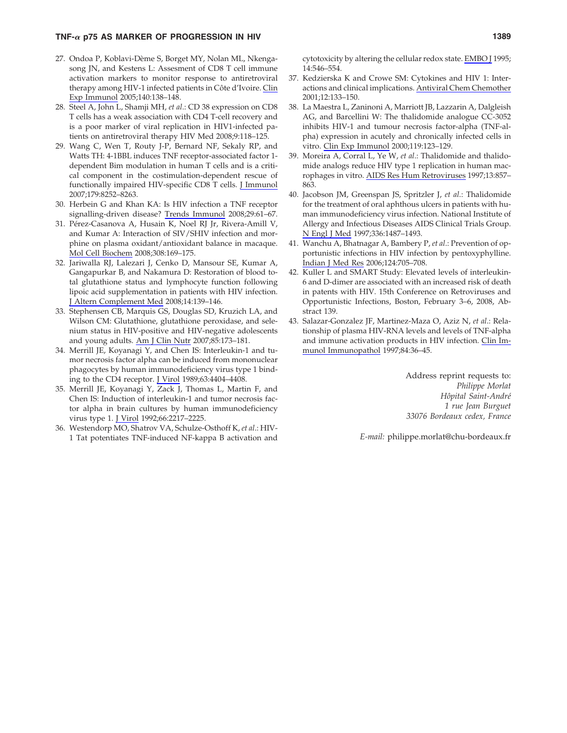# $\mathsf{TNF}$ - $\alpha$  p75 AS MARKER OF PROGRESSION IN HIV  $\qquad \qquad \qquad \qquad$  1389

- 27. Ondoa P, Koblavi-Dème S, Borget MY, Nolan ML, Nkengasong JN, and Kestens L: Assesment of CD8 T cell immune activation markers to monitor response to antiretroviral therapy among HIV-1 infected patients in Côte d'Ivoire. Clin Exp Immunol 2005;140:138–148.
- 28. Steel A, John L, Shamji MH, *et al*.: CD 38 expression on CD8 T cells has a weak association with CD4 T-cell recovery and is a poor marker of viral replication in HIV1-infected patients on antiretroviral therapy HIV Med 2008;9:118–125.
- 29. Wang C, Wen T, Routy J-P, Bernard NF, Sekaly RP, and Watts TH: 4-1BBL induces TNF receptor-associated factor 1 dependent Bim modulation in human T cells and is a critical component in the costimulation-dependent rescue of functionally impaired HIV-specific CD8 T cells. J Immunol 2007;179:8252–8263.
- 30. Herbein G and Khan KA: Is HIV infection a TNF receptor signalling-driven disease? Trends Immunol 2008;29:61–67.
- 31. Pérez-Casanova A, Husain K, Noel RJ Jr, Rivera-Amill V, and Kumar A: Interaction of SIV/SHIV infection and morphine on plasma oxidant/antioxidant balance in macaque. Mol Cell Biochem 2008;308:169–175.
- 32. Jariwalla RJ, Lalezari J, Cenko D, Mansour SE, Kumar A, Gangapurkar B, and Nakamura D: Restoration of blood total glutathione status and lymphocyte function following lipoic acid supplementation in patients with HIV infection. J Altern Complement Med 2008;14:139–146.
- 33. Stephensen CB, Marquis GS, Douglas SD, Kruzich LA, and Wilson CM: Glutathione, glutathione peroxidase, and selenium status in HIV-positive and HIV-negative adolescents and young adults. Am J Clin Nutr 2007;85:173–181.
- 34. Merrill JE, Koyanagi Y, and Chen IS: Interleukin-1 and tumor necrosis factor alpha can be induced from mononuclear phagocytes by human immunodeficiency virus type 1 binding to the CD4 receptor. J Virol 1989;63:4404–4408.
- 35. Merrill JE, Koyanagi Y, Zack J, Thomas L, Martin F, and Chen IS: Induction of interleukin-1 and tumor necrosis factor alpha in brain cultures by human immunodeficiency virus type 1. J Virol 1992;66:2217–2225.
- 36. Westendorp MO, Shatrov VA, Schulze-Osthoff K, *et al*.: HIV-1 Tat potentiates TNF-induced NF-kappa B activation and

cytotoxicity by altering the cellular redox state. EMBO J 1995; 14:546–554.

- 37. Kedzierska K and Crowe SM: Cytokines and HIV 1: Interactions and clinical implications. Antiviral Chem Chemother 2001;12:133–150.
- 38. La Maestra L, Zaninoni A, Marriott JB, Lazzarin A, Dalgleish AG, and Barcellini W: The thalidomide analogue CC-3052 inhibits HIV-1 and tumour necrosis factor-alpha (TNF-alpha) expression in acutely and chronically infected cells in vitro. Clin Exp Immunol 2000;119:123–129.
- 39. Moreira A, Corral L, Ye W, *et al*.: Thalidomide and thalidomide analogs reduce HIV type 1 replication in human macrophages in vitro. AIDS Res Hum Retroviruses 1997;13:857– 863.
- 40. Jacobson JM, Greenspan JS, Spritzler J, *et al*.: Thalidomide for the treatment of oral aphthous ulcers in patients with human immunodeficiency virus infection. National Institute of Allergy and Infectious Diseases AIDS Clinical Trials Group. N Engl J Med 1997;336:1487–1493.
- 41. Wanchu A, Bhatnagar A, Bambery P, *et al*.: Prevention of opportunistic infections in HIV infection by pentoxyphylline. Indian J Med Res 2006;124:705–708.
- 42. Kuller L and SMART Study: Elevated levels of interleukin-6 and D-dimer are associated with an increased risk of death in patents with HIV. 15th Conference on Retroviruses and Opportunistic Infections, Boston, February 3–6, 2008, Abstract 139.
- 43. Salazar-Gonzalez JF, Martinez-Maza O, Aziz N, *et al*.: Relationship of plasma HIV-RNA levels and levels of TNF-alpha and immune activation products in HIV infection. Clin Immunol Immunopathol 1997;84:36–45.

Address reprint requests to: *Philippe Morlat Hôpital Saint-André 1 rue Jean Burguet 33076 Bordeaux cedex, France*

*E-mail:* philippe.morlat@chu-bordeaux.fr